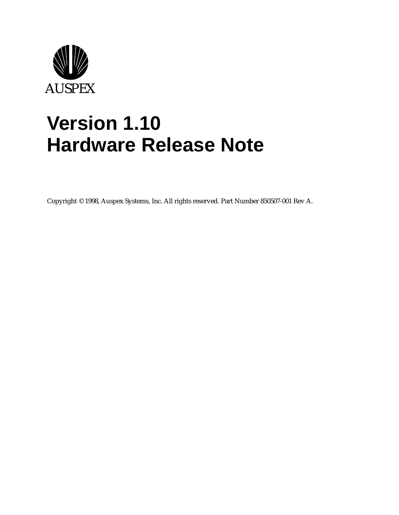

# **Version 1.10 Hardware Release Note**

Copyright © 1998, Auspex Systems, Inc. All rights reserved. Part Number 850507-001 Rev A.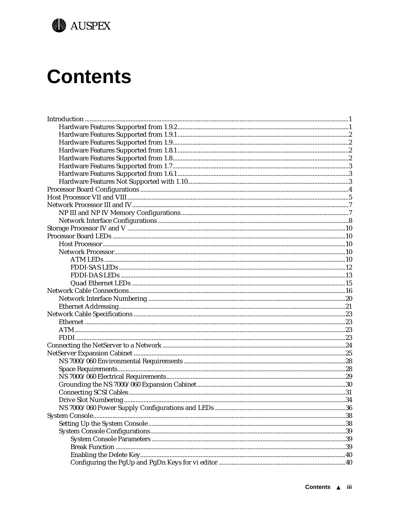

# **Contents**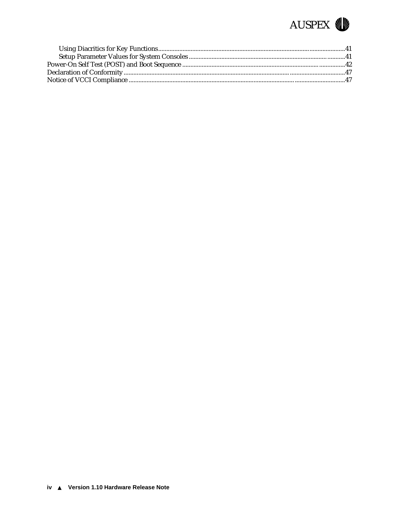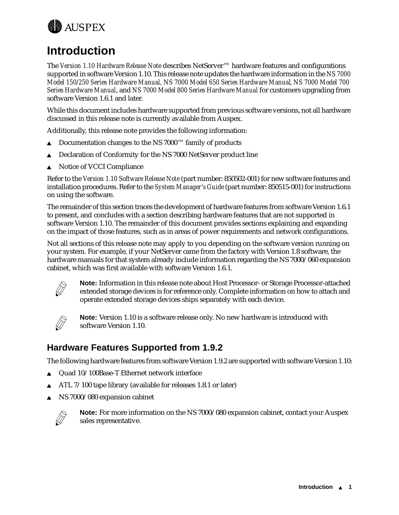<span id="page-4-0"></span>

# **Introduction**

The *Version 1.10 Hardware Release Note* describes NetServer™ hardware features and configurations supported in software Version 1.10. This release note updates the hardware information in the *NS 7000 Model 150/250 Series Hardware Manual, NS 7000 Model 650 Series Hardware Manual*, *NS 7000 Model 700 Series Hardware Manual*, and *NS 7000 Model 800 Series Hardware Manual* for customers upgrading from software Version 1.6.1 and later.

While this document includes hardware supported from previous software versions, not all hardware discussed in this release note is currently available from Auspex.

Additionally, this release note provides the following information:

- Documentation changes to the NS 7000™ family of products
- $\triangle$  Declaration of Conformity for the NS 7000 NetServer product line
- ▲ Notice of VCCI Compliance

Refer to the *Version 1.10 Software Release Note* (part number: 850502-001) for new software features and installation procedures. Refer to the *System Manager's Guide* (part number: 850515-001) for instructions on using the software.

The remainder of this section traces the development of hardware features from software Version 1.6.1 to present, and concludes with a section describing hardware features that are not supported in software Version 1.10. The remainder of this document provides sections explaining and expanding on the impact of those features, such as in areas of power requirements and network configurations.

Not all sections of this release note may apply to you depending on the software version running on your system. For example, if your NetServer came from the factory with Version 1.8 software, the hardware manuals for that system already include information regarding the NS 7000/060 expansion cabinet, which was first available with software Version 1.6.1.



**Note:** Information in this release note about Host Processor- or Storage Processor-attached extended storage devices is for reference only. Complete information on how to attach and operate extended storage devices ships separately with each device.



**Note:** Version 1.10 is a software release only. No new hardware is introduced with software Version 1.10.

### **Hardware Features Supported from 1.9.2**

The following hardware features from software Version 1.9.2 are supported with software Version 1.10:

- $\triangle$  Quad 10/100Base-T Ethernet network interface
- ATL 7/100 tape library (available for releases 1.8.1 or later)
- NS 7000/080 expansion cabinet



**Note:** For more information on the NS 7000/080 expansion cabinet, contact your Auspex sales representative.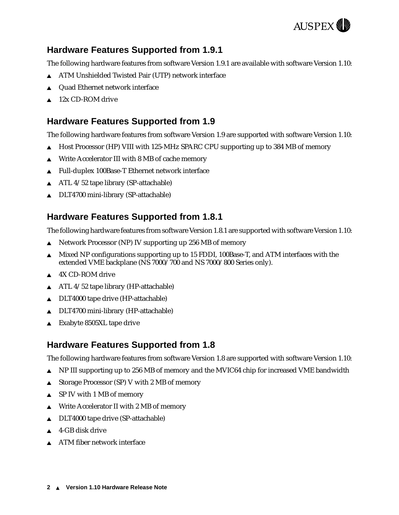

### <span id="page-5-0"></span>**Hardware Features Supported from 1.9.1**

The following hardware features from software Version 1.9.1 are available with software Version 1.10:

- ATM Unshielded Twisted Pair (UTP) network interface
- Quad Ethernet network interface
- 12x CD-ROM drive

#### **Hardware Features Supported from 1.9**

The following hardware features from software Version 1.9 are supported with software Version 1.10:

- Host Processor (HP) VIII with 125-MHz SPARC CPU supporting up to 384 MB of memory
- Write Accelerator III with 8 MB of cache memory
- ▲ Full-duplex 100Base-T Ethernet network interface
- <sup>s</sup> ATL 4/52 tape library (SP-attachable)
- $\triangle$  DLT4700 mini-library (SP-attachable)

#### **Hardware Features Supported from 1.8.1**

The following hardware features from software Version 1.8.1 are supported with software Version 1.10:

- <sup>s</sup> Network Processor (NP) IV supporting up 256 MB of memory
- Mixed NP configurations supporting up to 15 FDDI, 100Base-T, and ATM interfaces with the extended VME backplane (NS 7000/700 and NS 7000/800 Series only).
- 4X CD-ROM drive
- $\triangle$  ATL 4/52 tape library (HP-attachable)
- $\triangle$  DLT4000 tape drive (HP-attachable)
- DLT4700 mini-library (HP-attachable)
- $\triangle$  Exabyte 8505XL tape drive

#### **Hardware Features Supported from 1.8**

The following hardware features from software Version 1.8 are supported with software Version 1.10:

- **A** NP III supporting up to 256 MB of memory and the MVIC64 chip for increased VME bandwidth
- <sup>s</sup> Storage Processor (SP) V with 2 MB of memory
- SP IV with 1 MB of memory
- Write Accelerator II with 2 MB of memory
- $\triangle$  DLT4000 tape drive (SP-attachable)
- 4-GB disk drive
- $\triangle$  ATM fiber network interface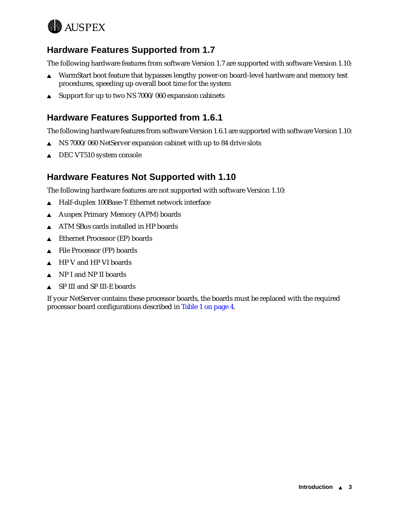<span id="page-6-0"></span>

### **Hardware Features Supported from 1.7**

The following hardware features from software Version 1.7 are supported with software Version 1.10:

- **A** WarmStart boot feature that bypasses lengthy power-on board-level hardware and memory test procedures, speeding up overall boot time for the system
- $\triangle$  Support for up to two NS 7000/060 expansion cabinets

### **Hardware Features Supported from 1.6.1**

The following hardware features from software Version 1.6.1 are supported with software Version 1.10:

- $\triangle$  NS 7000/060 NetServer expansion cabinet with up to 84 drive slots
- $\triangle$  DEC VT510 system console

#### **Hardware Features Not Supported with 1.10**

The following hardware features are not supported with software Version 1.10:

- ▲ Half-duplex 100Base-T Ethernet network interface
- ▲ Auspex Primary Memory (APM) boards
- **ATM SBus cards installed in HP boards**
- $\triangle$  Ethernet Processor (EP) boards
- $\triangle$  File Processor (FP) boards
- $\triangle$  HP V and HP VI boards
- $\triangle$  NP I and NP II boards
- $\triangle$  SP III and SP III-E boards

If your NetServer contains these processor boards, the boards must be replaced with the required processor board configurations described in [Table 1 on page 4](#page-7-0).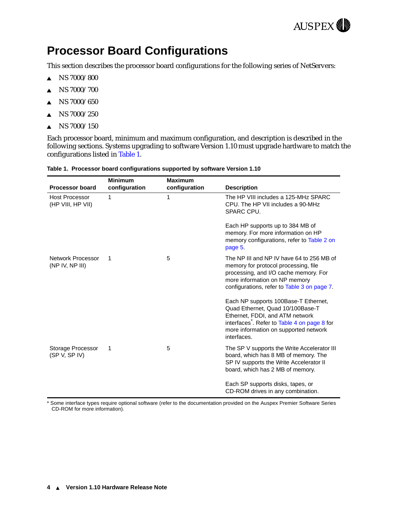

# <span id="page-7-0"></span>**Processor Board Configurations**

This section describes the processor board configurations for the following series of NetServers:

- $\triangle$  NS 7000/800
- $\triangle$  NS 7000/700
- $\triangle$  NS 7000/650
- $\triangle$  NS 7000/250
- $\triangle$  NS 7000/150

Each processor board, minimum and maximum configuration, and description is described in the following sections. Systems upgrading to software Version 1.10 must upgrade hardware to match the configurations listed in Table 1.

| <b>Processor board</b>                     | <b>Minimum</b><br>configuration | <b>Maximum</b><br>configuration | <b>Description</b>                                                                                                                                                                                                              |
|--------------------------------------------|---------------------------------|---------------------------------|---------------------------------------------------------------------------------------------------------------------------------------------------------------------------------------------------------------------------------|
| <b>Host Processor</b><br>(HP VIII, HP VII) | 1                               | 1                               | The HP VIII includes a 125-MHz SPARC<br>CPU. The HP VII includes a 90-MHz<br>SPARC CPU.                                                                                                                                         |
|                                            |                                 |                                 | Each HP supports up to 384 MB of<br>memory. For more information on HP<br>memory configurations, refer to Table 2 on<br>page 5.                                                                                                 |
| Network Processor<br>(NP IV, NP III)       | 1                               | 5                               | The NP III and NP IV have 64 to 256 MB of<br>memory for protocol processing, file<br>processing, and I/O cache memory. For<br>more information on NP memory<br>configurations, refer to Table 3 on page 7.                      |
|                                            |                                 |                                 | Each NP supports 100Base-T Ethernet,<br>Quad Ethernet, Quad 10/100Base-T<br>Ethernet, FDDI, and ATM network<br>interfaces <sup>2</sup> . Refer to Table 4 on page 8 for<br>more information on supported network<br>interfaces. |
| Storage Processor<br>(SP V, SP IV)         | 1                               | 5                               | The SP V supports the Write Accelerator III<br>board, which has 8 MB of memory. The<br>SP IV supports the Write Accelerator II<br>board, which has 2 MB of memory.                                                              |
|                                            |                                 |                                 | Each SP supports disks, tapes, or<br>CD-ROM drives in any combination.                                                                                                                                                          |

#### **Table 1. Processor board configurations supported by software Version 1.10**

\* Some interface types require optional software (refer to the documentation provided on the Auspex Premier Software Series CD-ROM for more information).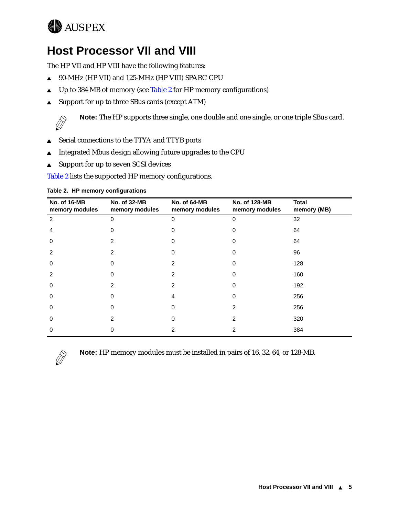# <span id="page-8-0"></span>**WAUSPEX**

# **Host Processor VII and VIII**

The HP VII and HP VIII have the following features:

- ▲ 90-MHz (HP VII) and 125-MHz (HP VIII) SPARC CPU
- $\triangle$  Up to 384 MB of memory (see Table 2 for HP memory configurations)
- ▲ Support for up to three SBus cards (except ATM)



**Note:** The HP supports three single, one double and one single, or one triple SBus card.

- ▲ Serial connections to the TTYA and TTYB ports
- <sup>s</sup> Integrated Mbus design allowing future upgrades to the CPU
- $\triangle$  Support for up to seven SCSI devices

Table 2 lists the supported HP memory configurations.

| No. of 16-MB<br>memory modules | No. of 32-MB<br>memory modules | No. of 64-MB<br>memory modules | No. of 128-MB<br>memory modules | <b>Total</b><br>memory (MB) |
|--------------------------------|--------------------------------|--------------------------------|---------------------------------|-----------------------------|
| 2                              | 0                              | $\Omega$                       | $\Omega$                        | 32                          |
| 4                              |                                |                                |                                 | 64                          |
| $\Omega$                       |                                |                                |                                 | 64                          |
| $\mathcal{P}$                  | 2                              |                                |                                 | 96                          |
| $\Omega$                       | 0                              |                                | U                               | 128                         |
| $\mathcal{P}$                  |                                | 2                              | 0                               | 160                         |
| $\Omega$                       | 2                              | 2                              | 0                               | 192                         |
| $\Omega$                       | 0                              | 4                              | 0                               | 256                         |
| $\Omega$                       |                                | ∩                              | 2                               | 256                         |
| $\Omega$                       | 2                              | ∩                              | 2                               | 320                         |
| 0                              |                                |                                |                                 | 384                         |

#### **Table 2. HP memory configurations**



**Note:** HP memory modules must be installed in pairs of 16, 32, 64, or 128-MB.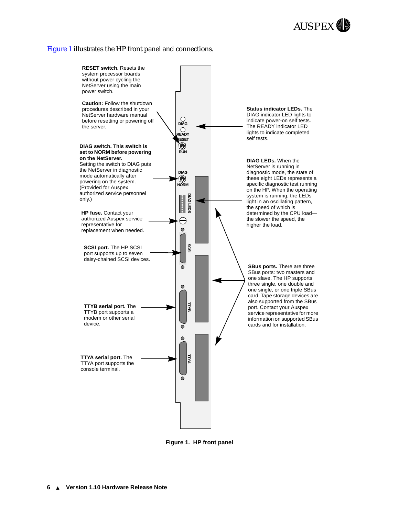#### <span id="page-9-0"></span>Figure 1 illustrates the HP front panel and connections.



**Figure 1. HP front panel**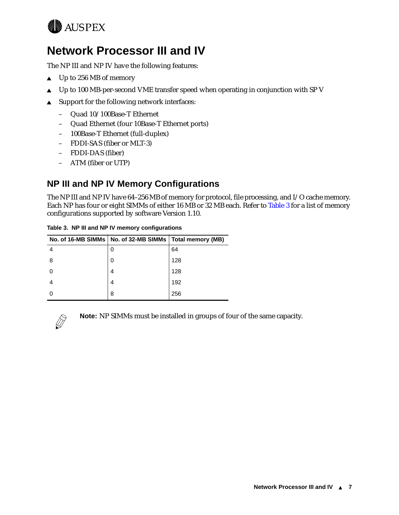<span id="page-10-0"></span>

# **Network Processor III and IV**

The NP III and NP IV have the following features:

- $\triangle$  Up to 256 MB of memory
- $\triangle$  Up to 100 MB-per-second VME transfer speed when operating in conjunction with SP V
- $\triangle$  Support for the following network interfaces:
	- Quad 10/100Base-T Ethernet
	- Quad Ethernet (four 10Base-T Ethernet ports)
	- 100Base-T Ethernet (full-duplex)
	- FDDI-SAS (fiber or MLT-3)
	- FDDI-DAS (fiber)
	- ATM (fiber or UTP)

### **NP III and NP IV Memory Configurations**

The NP III and NP IV have 64–256 MB of memory for protocol, file processing, and I/O cache memory. Each NP has four or eight SIMMs of either 16 MB or 32 MB each. Refer to Table 3 for a list of memory configurations supported by software Version 1.10.

|  | Table 3. NP III and NP IV memory configurations |
|--|-------------------------------------------------|
|  |                                                 |

|    | No. of 16-MB SIMMs   No. of 32-MB SIMMs   Total memory (MB) |     |
|----|-------------------------------------------------------------|-----|
| 4  | 0                                                           | 64  |
| -8 | 0                                                           | 128 |
|    | 4                                                           | 128 |
|    | 4                                                           | 192 |
|    | 8                                                           | 256 |



**Note:** NP SIMMs must be installed in groups of four of the same capacity.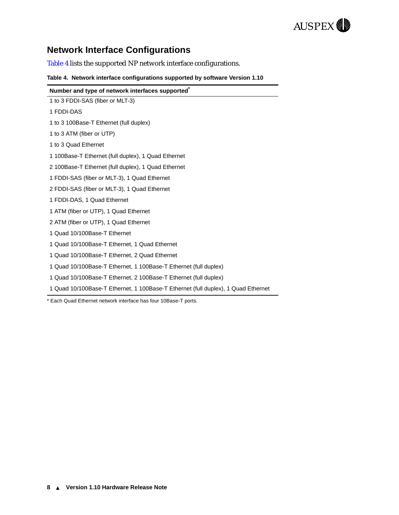

# <span id="page-11-0"></span>**Network Interface Configurations**

Table 4 lists the supported NP network interface configurations.

|  | Table 4. Network interface configurations supported by software Version 1.10 |  |  |
|--|------------------------------------------------------------------------------|--|--|
|  |                                                                              |  |  |

| Number and type of network interfaces supported                                   |
|-----------------------------------------------------------------------------------|
| 1 to 3 FDDI-SAS (fiber or MLT-3)                                                  |
| 1 FDDI-DAS                                                                        |
| 1 to 3 100Base-T Ethernet (full duplex)                                           |
| 1 to 3 ATM (fiber or UTP)                                                         |
| 1 to 3 Quad Ethernet                                                              |
| 1 100Base-T Ethernet (full duplex), 1 Quad Ethernet                               |
| 2 100Base-T Ethernet (full duplex), 1 Quad Ethernet                               |
| 1 FDDI-SAS (fiber or MLT-3), 1 Quad Ethernet                                      |
| 2 FDDI-SAS (fiber or MLT-3), 1 Quad Ethernet                                      |
| 1 FDDI-DAS, 1 Quad Ethernet                                                       |
| 1 ATM (fiber or UTP), 1 Quad Ethernet                                             |
| 2 ATM (fiber or UTP), 1 Quad Ethernet                                             |
| 1 Quad 10/100Base-T Ethernet                                                      |
| 1 Quad 10/100Base-T Ethernet, 1 Quad Ethernet                                     |
| 1 Quad 10/100Base-T Ethernet, 2 Quad Ethernet                                     |
| 1 Quad 10/100Base-T Ethernet, 1 100Base-T Ethernet (full duplex)                  |
| 1 Quad 10/100Base-T Ethernet, 2 100Base-T Ethernet (full duplex)                  |
| 1 Quad 10/100Base-T Ethernet, 1 100Base-T Ethernet (full duplex), 1 Quad Ethernet |

\* Each Quad Ethernet network interface has four 10Base-T ports.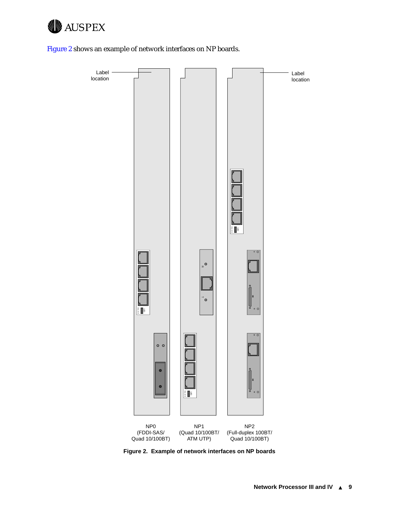

Figure 2 shows an example of network interfaces on NP boards.



**Figure 2. Example of network interfaces on NP boards**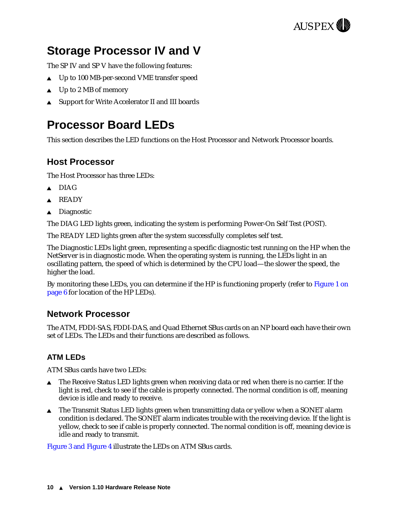

# <span id="page-13-0"></span>**Storage Processor IV and V**

The SP IV and SP V have the following features:

- $\triangle$  Up to 100 MB-per-second VME transfer speed
- $\triangle$  Up to 2 MB of memory
- Support for Write Accelerator II and III boards

# **Processor Board LEDs**

This section describes the LED functions on the Host Processor and Network Processor boards.

#### **Host Processor**

The Host Processor has three LEDs:

- $\triangle$  DIAG
- $\triangle$  READY
- $\triangle$  Diagnostic

The DIAG LED lights green, indicating the system is performing Power-On Self Test (POST).

The READY LED lights green after the system successfully completes self test.

The Diagnostic LEDs light green, representing a specific diagnostic test running on the HP when the NetServer is in diagnostic mode. When the operating system is running, the LEDs light in an oscillating pattern, the speed of which is determined by the CPU load—the slower the speed, the higher the load.

By monitoring these LEDs, you can determine if the HP is functioning properly (refer to [Figure 1 on](#page-9-0)  [page 6](#page-9-0) for location of the HP LEDs).

#### **Network Processor**

The ATM, FDDI-SAS, FDDI-DAS, and Quad Ethernet SBus cards on an NP board each have their own set of LEDs. The LEDs and their functions are described as follows.

#### **ATM LEDs**

ATM SBus cards have two LEDs:

- $\blacktriangle$  The Receive Status LED lights green when receiving data or red when there is no carrier. If the light is red, check to see if the cable is properly connected. The normal condition is off, meaning device is idle and ready to receive.
- The Transmit Status LED lights green when transmitting data or yellow when a SONET alarm condition is declared. The SONET alarm indicates trouble with the receiving device. If the light is yellow, check to see if cable is properly connected. The normal condition is off, meaning device is idle and ready to transmit.

[Figure 3](#page-14-0) and [Figure 4](#page-14-0) illustrate the LEDs on ATM SBus cards.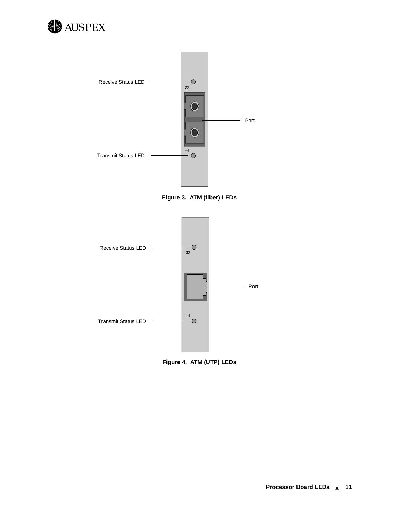<span id="page-14-0"></span>



**Figure 3. ATM (fiber) LEDs**



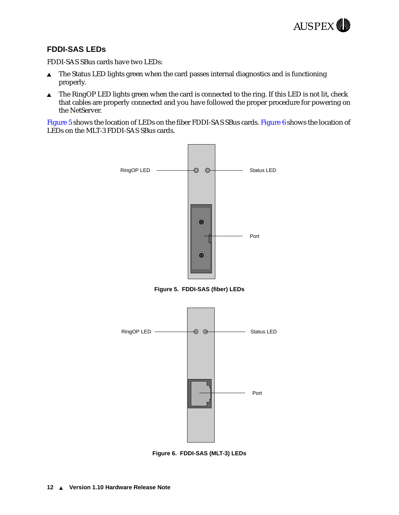

#### <span id="page-15-0"></span>**FDDI-SAS LEDs**

FDDI-SAS SBus cards have two LEDs:

- $\triangle$  The Status LED lights green when the card passes internal diagnostics and is functioning properly.
- $\triangle$  The RingOP LED lights green when the card is connected to the ring. If this LED is not lit, check that cables are properly connected and you have followed the proper procedure for powering on the NetServer.

Figure 5 shows the location of LEDs on the fiber FDDI-SAS SBus cards. Figure 6 shows the location of LEDs on the MLT-3 FDDI-SAS SBus cards.



**Figure 5. FDDI-SAS (fiber) LEDs**



**Figure 6. FDDI-SAS (MLT-3) LEDs**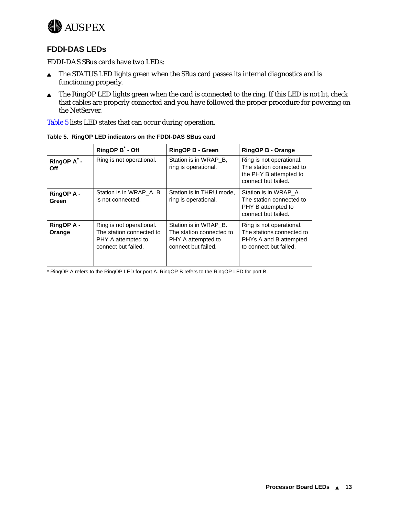<span id="page-16-0"></span>

#### **FDDI-DAS LEDs**

FDDI-DAS SBus cards have two LEDs:

- $\triangle$  The STATUS LED lights green when the SBus card passes its internal diagnostics and is functioning properly.
- The RingOP LED lights green when the card is connected to the ring. If this LED is not lit, check that cables are properly connected and you have followed the proper procedure for powering on the NetServer.

Table 5 lists LED states that can occur during operation.

|                                       | RingOP B <sup>*</sup> - Off                                                                       | <b>RingOP B - Green</b>                                                                        | <b>RingOP B - Orange</b>                                                                                  |
|---------------------------------------|---------------------------------------------------------------------------------------------------|------------------------------------------------------------------------------------------------|-----------------------------------------------------------------------------------------------------------|
| RingOP A <sup>*</sup> -<br><b>Off</b> | Ring is not operational.                                                                          | Station is in WRAP B.<br>ring is operational.                                                  | Ring is not operational.<br>The station connected to<br>the PHY B attempted to<br>connect but failed.     |
| <b>RingOP A -</b><br>Green            | Station is in WRAP A, B<br>is not connected.                                                      | Station is in THRU mode,<br>ring is operational.                                               | Station is in WRAP A.<br>The station connected to<br>PHY B attempted to<br>connect but failed.            |
| <b>RingOP A -</b><br>Orange           | Ring is not operational.<br>The station connected to<br>PHY A attempted to<br>connect but failed. | Station is in WRAP B.<br>The station connected to<br>PHY A attempted to<br>connect but failed. | Ring is not operational.<br>The stations connected to<br>PHYs A and B attempted<br>to connect but failed. |

**Table 5. RingOP LED indicators on the FDDI-DAS SBus card**

\* RingOP A refers to the RingOP LED for port A. RingOP B refers to the RingOP LED for port B.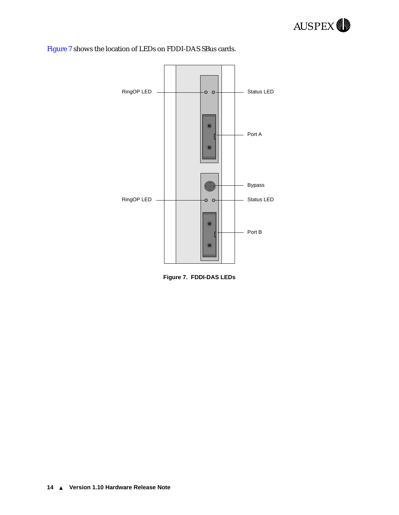



#### Figure 7 shows the location of LEDs on FDDI-DAS SBus cards.

**Figure 7. FDDI-DAS LEDs**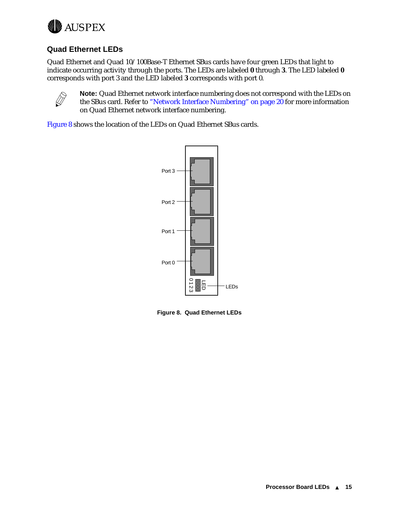<span id="page-18-0"></span>

#### **Quad Ethernet LEDs**

Quad Ethernet and Quad 10/100Base-T Ethernet SBus cards have four green LEDs that light to indicate occurring activity through the ports. The LEDs are labeled **0** through **3**. The LED labeled **0** corresponds with port 3 and the LED labeled **3** corresponds with port 0.



**Note:** Quad Ethernet network interface numbering does not correspond with the LEDs on the SBus card. Refer to ["Network Interface Numbering" on page 20](#page-23-0) for more information on Quad Ethernet network interface numbering.

Figure 8 shows the location of the LEDs on Quad Ethernet SBus cards.

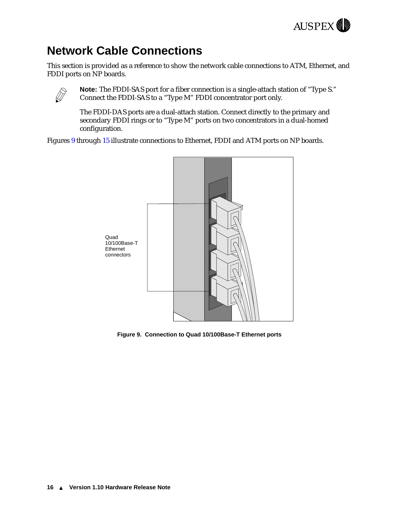

# <span id="page-19-0"></span>**Network Cable Connections**

This section is provided as a reference to show the network cable connections to ATM, Ethernet, and FDDI ports on NP boards.



**Note:** The FDDI-SAS port for a fiber connection is a single-attach station of "Type S." Connect the FDDI-SAS to a "Type M" FDDI concentrator port only.

The FDDI-DAS ports are a dual-attach station. Connect directly to the primary and secondary FDDI rings or to "Type M" ports on two concentrators in a dual-homed configuration.

Figures 9 through [15](#page-22-0) illustrate connections to Ethernet, FDDI and ATM ports on NP boards.



**Figure 9. Connection to Quad 10/100Base-T Ethernet ports**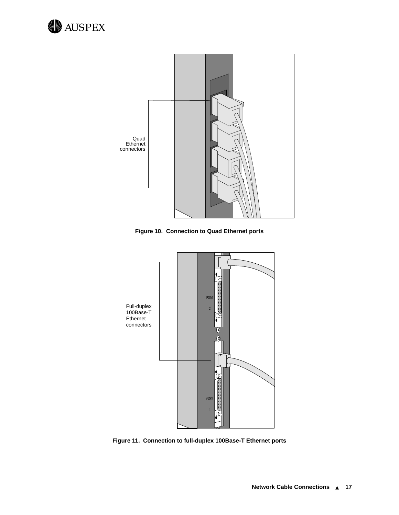



**Figure 10. Connection to Quad Ethernet ports**



**Figure 11. Connection to full-duplex 100Base-T Ethernet ports**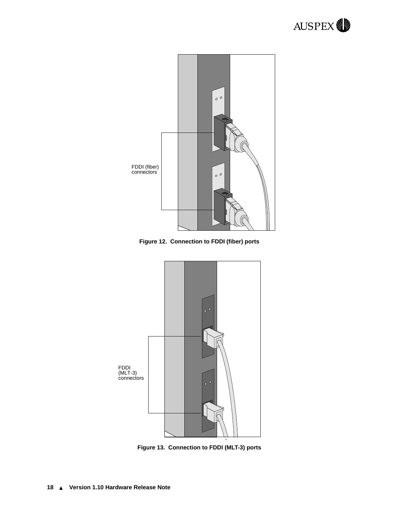

**Figure 12. Connection to FDDI (fiber) ports**



**Figure 13. Connection to FDDI (MLT-3) ports**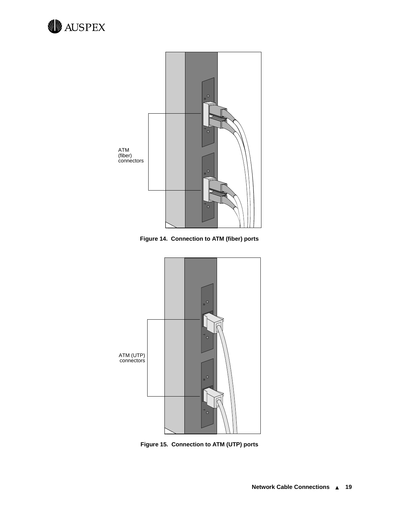<span id="page-22-0"></span>



**Figure 14. Connection to ATM (fiber) ports**



**Figure 15. Connection to ATM (UTP) ports**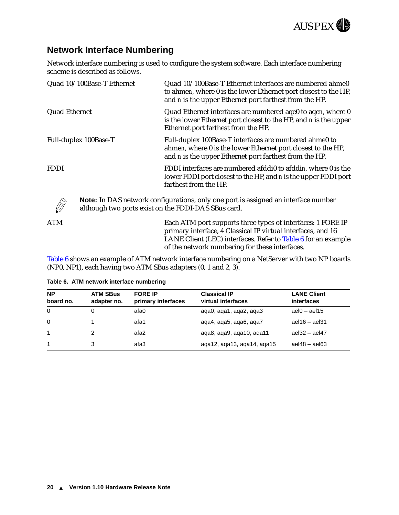

### <span id="page-23-0"></span>**Network Interface Numbering**

Network interface numbering is used to configure the system software. Each interface numbering scheme is described as follows.

| Quad 10/100Base-T Ethernet | Quad 10/100Base-T Ethernet interfaces are numbered ahme0<br>to ahmen, where 0 is the lower Ethernet port closest to the HP,<br>and <i>n</i> is the upper Ethernet port farthest from the HP. |
|----------------------------|----------------------------------------------------------------------------------------------------------------------------------------------------------------------------------------------|
| <b>Quad Ethernet</b>       | Quad Ethernet interfaces are numbered aqe0 to aqen, where 0<br>is the lower Ethernet port closest to the HP, and <i>n</i> is the upper<br>Ethernet port farthest from the HP.                |
| Full-duplex 100Base-T      | Full-duplex 100Base-T interfaces are numbered ahme0 to<br>ahmen, where 0 is the lower Ethernet port closest to the HP,<br>and <i>n</i> is the upper Ethernet port farthest from the HP.      |
| <b>FDDI</b>                | FDDI interfaces are numbered afddi0 to afddin, where 0 is the<br>lower FDDI port closest to the HP, and n is the upper FDDI port<br>farthest from the HP.                                    |
|                            | <b>Note:</b> In DAS network configurations, only one port is assigned an interface number<br>although two ports exist on the FDDI-DAS SBus card.                                             |
| ATM                        | Each ATM port supports three types of interfaces: 1 FORE IP<br>primary interface, 4 Classical IP virtual interfaces, and 16<br>LANE Client (LEC) interfaces. Refer to Table 6 for an example |

Table 6 shows an example of ATM network interface numbering on a NetServer with two NP boards (NP0, NP1), each having two ATM SBus adapters (0, 1 and 2, 3).

of the network numbering for these interfaces.

| <b>NP</b><br>board no. | <b>ATM SBus</b><br>adapter no. | <b>FORE IP</b><br>primary interfaces | <b>Classical IP</b><br>virtual interfaces | <b>LANE Client</b><br>interfaces |
|------------------------|--------------------------------|--------------------------------------|-------------------------------------------|----------------------------------|
| $\Omega$               |                                | afa0                                 | aqa0, aqa1, aqa2, aqa3                    | ael $0 - a$ el $15$              |
| $\Omega$               |                                | afa1                                 | aga4, aga5, aga6, aga7                    | ael $16 -$ ael $31$              |
|                        |                                | afa2                                 | aga8, aga9, aga10, aga11                  | ael $32 -$ ael $47$              |
| $\overline{1}$         |                                | afa3                                 | aga12, aga13, aga14, aga15                | $ael48 - ael63$                  |

#### **Table 6. ATM network interface numbering**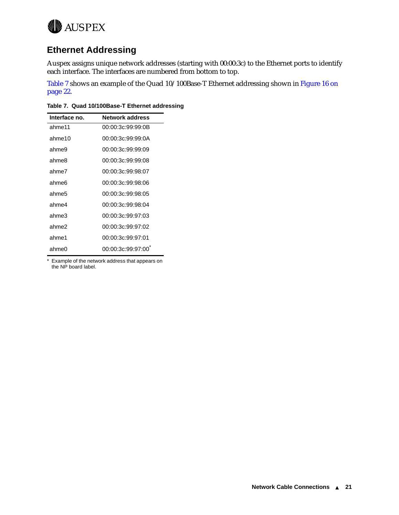<span id="page-24-0"></span>

### **Ethernet Addressing**

Auspex assigns unique network addresses (starting with 00:00:3c) to the Ethernet ports to identify each interface. The interfaces are numbered from bottom to top.

Table 7 shows an example of the Quad 10/100Base-T Ethernet addressing shown in [Figure 16 on](#page-25-0)  [page 22.](#page-25-0)

**Table 7. Quad 10/100Base-T Ethernet addressing**

| Interface no. | <b>Network address</b> |
|---------------|------------------------|
| ahme11        | 00:00:3c:99:99:0B      |
| ahme10        | 00:00:3c:99:99:0A      |
| ahme9         | 00:00:3c:99:99:09      |
| ahme8         | 00:00:3c:99:99:08      |
| ahme7         | 00:00:3c:99:98:07      |
| ahme6         | 00:00:3c:99:98:06      |
| ahme5         | 00:00:3c:99:98:05      |
| ahme4         | 00:00:3c:99:98:04      |
| ahme3         | 00:00:3c:99:97:03      |
| ahme2         | 00:00:3c:99:97:02      |
| ahme1         | 00:00:3c:99:97:01      |
| ahme0         | 00:00:3c:99:97:00      |

\* Example of the network address that appears on the NP board label.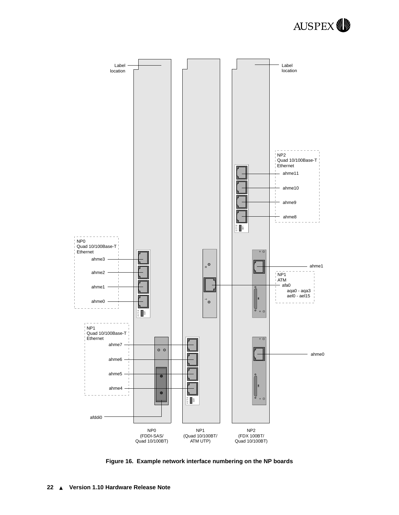

<span id="page-25-0"></span>

**Figure 16. Example network interface numbering on the NP boards**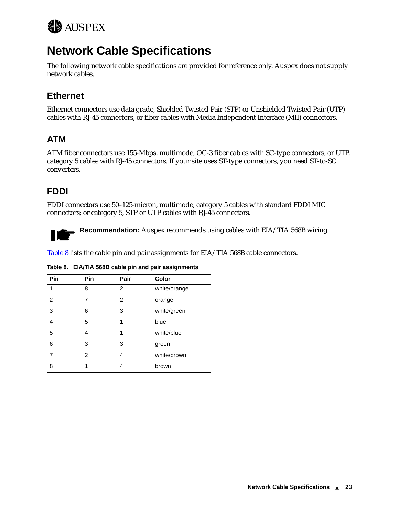<span id="page-26-0"></span>

# **Network Cable Specifications**

The following network cable specifications are provided for reference only. Auspex does not supply network cables.

## **Ethernet**

Ethernet connectors use data grade, Shielded Twisted Pair (STP) or Unshielded Twisted Pair (UTP) cables with RJ-45 connectors, or fiber cables with Media Independent Interface (MII) connectors.

# **ATM**

ATM fiber connectors use 155-Mbps, multimode, OC-3 fiber cables with SC-type connectors, or UTP, category 5 cables with RJ-45 connectors. If your site uses ST-type connectors, you need ST-to-SC converters.

### **FDDI**

FDDI connectors use 50–125-micron, multimode, category 5 cables with standard FDDI MIC connectors; or category 5, STP or UTP cables with RJ-45 connectors.



**Recommendation:** Auspex recommends using cables with EIA/TIA 568B wiring.

Table 8 lists the cable pin and pair assignments for EIA/TIA 568B cable connectors.

| Pin | Pin            | Pair | Color        |
|-----|----------------|------|--------------|
| 1   | 8              | 2    | white/orange |
| 2   | 7              | 2    | orange       |
| 3   | 6              | 3    | white/green  |
| 4   | 5              | 1    | blue         |
| 5   | 4              | 1    | white/blue   |
| 6   | 3              | 3    | green        |
| 7   | $\overline{2}$ | 4    | white/brown  |
| 8   | 1              | 4    | brown        |

**Table 8. EIA/TIA 568B cable pin and pair assignments**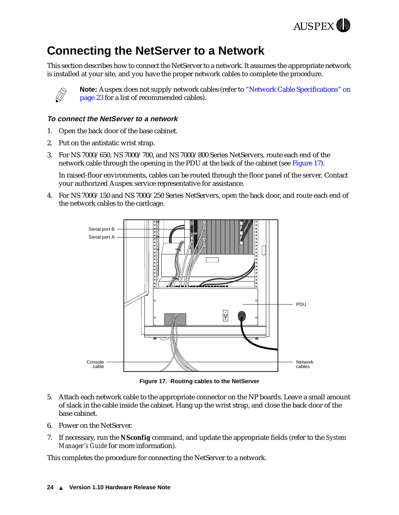

# <span id="page-27-0"></span>**Connecting the NetServer to a Network**

This section describes how to connect the NetServer to a network. It assumes the appropriate network is installed at your site, and you have the proper network cables to complete the procedure.



**Note:** Auspex does not supply network cables (refer to ["Network Cable Specifications" on](#page-26-0)  [page 23](#page-26-0) for a list of recommended cables).

#### **To connect the NetServer to a network**

- 1. Open the back door of the base cabinet.
- 2. Put on the antistatic wrist strap.
- 3. For NS 7000/650, NS 7000/700, and NS 7000/800 Series NetServers, route each end of the network cable through the opening in the PDU at the back of the cabinet (see Figure 17).

In raised-floor environments, cables can be routed through the floor panel of the server. Contact your authorized Auspex service representative for assistance.

4. For NS 7000/150 and NS 7000/250 Series NetServers, open the back door, and route each end of the network cables to the cardcage.



**Figure 17. Routing cables to the NetServer** 

- 5. Attach each network cable to the appropriate connector on the NP boards. Leave a small amount of slack in the cable inside the cabinet. Hang up the wrist strap, and close the back door of the base cabinet.
- 6. Power on the NetServer.
- 7. If necessary, run the **NSconfig** command, and update the appropriate fields (refer to the *System Manager's Guide* for more information).

This completes the procedure for connecting the NetServer to a network.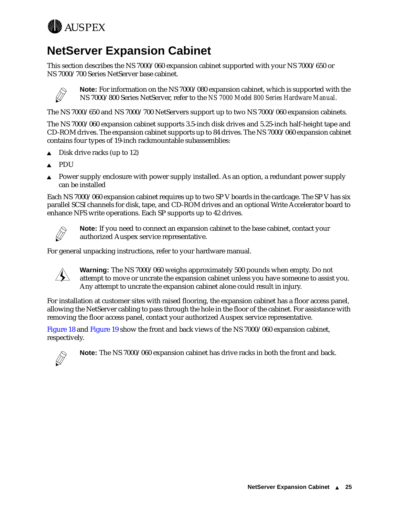<span id="page-28-0"></span>

# **NetServer Expansion Cabinet**

This section describes the NS 7000/060 expansion cabinet supported with your NS 7000/650 or NS 7000/700 Series NetServer base cabinet.



**Note:** For information on the NS 7000/080 expansion cabinet, which is supported with the NS 7000/800 Series NetServer, refer to the *NS 7000 Model 800 Series Hardware Manual*.

The NS 7000/650 and NS 7000/700 NetServers support up to two NS 7000/060 expansion cabinets.

The NS 7000/060 expansion cabinet supports 3.5-inch disk drives and 5.25-inch half-height tape and CD-ROM drives. The expansion cabinet supports up to 84 drives. The NS 7000/060 expansion cabinet contains four types of 19-inch rackmountable subassemblies:

- $\triangle$  Disk drive racks (up to 12)
- **PDU**
- Power supply enclosure with power supply installed. As an option, a redundant power supply can be installed

Each NS 7000/060 expansion cabinet requires up to two SP V boards in the cardcage. The SP V has six parallel SCSI channels for disk, tape, and CD-ROM drives and an optional Write Accelerator board to enhance NFS write operations. Each SP supports up to 42 drives.



**Note:** If you need to connect an expansion cabinet to the base cabinet, contact your authorized Auspex service representative.

For general unpacking instructions, refer to your hardware manual.



**Warning:** The NS 7000/060 weighs approximately 500 pounds when empty. Do not attempt to move or uncrate the expansion cabinet unless you have someone to assist you. Any attempt to uncrate the expansion cabinet alone could result in injury.

For installation at customer sites with raised flooring, the expansion cabinet has a floor access panel, allowing the NetServer cabling to pass through the hole in the floor of the cabinet. For assistance with removing the floor access panel, contact your authorized Auspex service representative.

[Figure 18](#page-29-0) and [Figure 19](#page-30-0) show the front and back views of the NS 7000/060 expansion cabinet, respectively.



**Note:** The NS 7000/060 expansion cabinet has drive racks in both the front and back.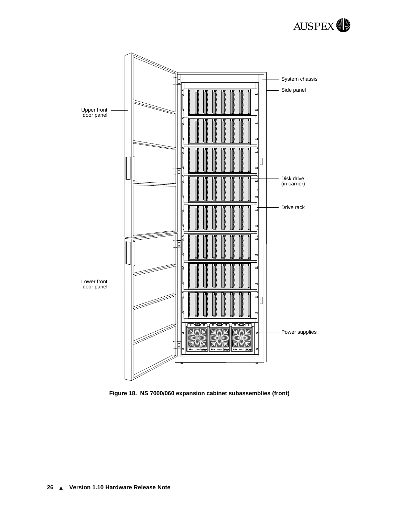

<span id="page-29-0"></span>

**Figure 18. NS 7000/060 expansion cabinet subassemblies (front)**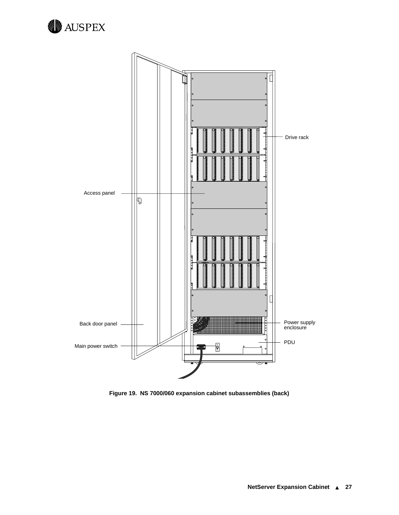<span id="page-30-0"></span>



**Figure 19. NS 7000/060 expansion cabinet subassemblies (back)**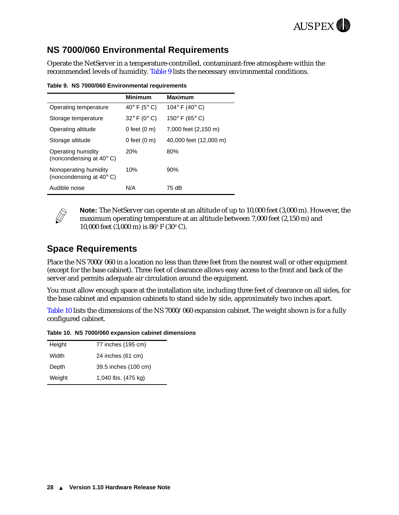

### <span id="page-31-0"></span>**NS 7000/060 Environmental Requirements**

Operate the NetServer in a temperature-controlled, contaminant-free atmosphere within the recommended levels of humidity. Table 9 lists the necessary environmental conditions.

**Table 9. NS 7000/060 Environmental requirements**

|                                                            | <b>Minimum</b>                  | <b>Maximum</b>                   |
|------------------------------------------------------------|---------------------------------|----------------------------------|
| Operating temperature                                      | 40 $\degree$ F (5 $\degree$ C)  | 104 $\degree$ F (40 $\degree$ C) |
| Storage temperature                                        | $32^{\circ}$ F (0 $^{\circ}$ C) | 150 $\degree$ F (65 $\degree$ C) |
| Operating altitude                                         | 0 feet $(0, m)$                 | 7,000 feet (2,150 m)             |
| Storage altitude                                           | 0 feet $(0 \text{ m})$          | 40,000 feet (12,000 m)           |
| Operating humidity<br>(noncondensing at $40^{\circ}$ C)    | <b>20%</b>                      | 80%                              |
| Nonoperating humidity<br>(noncondensing at $40^{\circ}$ C) | 10%                             | 90%                              |
| Audible noise                                              | N/A                             | 75 dB                            |



**Note:** The NetServer can operate at an altitude of up to 10,000 feet (3,000 m). However, the maximum operating temperature at an altitude between 7,000 feet (2,150 m) and 10,000 feet  $(3,000 \text{ m})$  is  $86^{\circ}$  F  $(30^{\circ}$  C).

#### **Space Requirements**

Place the NS 7000/060 in a location no less than three feet from the nearest wall or other equipment (except for the base cabinet). Three feet of clearance allows easy access to the front and back of the server and permits adequate air circulation around the equipment.

You must allow enough space at the installation site, including three feet of clearance on all sides, for the base cabinet and expansion cabinets to stand side by side, approximately two inches apart.

Table 10 lists the dimensions of the NS 7000/060 expansion cabinet. The weight shown is for a fully configured cabinet.

**Table 10. NS 7000/060 expansion cabinet dimensions** 

| 77 inches (195 cm)   |
|----------------------|
| 24 inches (61 cm)    |
| 39.5 inches (100 cm) |
| 1,040 lbs. (475 kg)  |
|                      |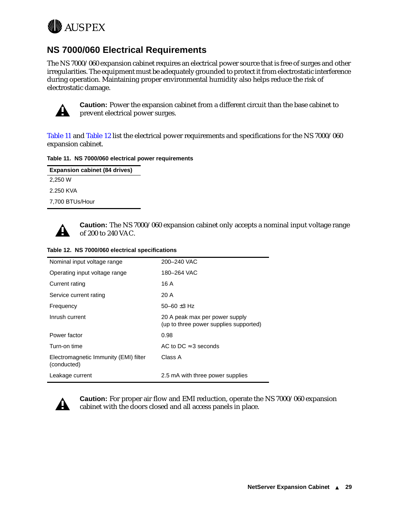<span id="page-32-0"></span>

### **NS 7000/060 Electrical Requirements**

The NS 7000/060 expansion cabinet requires an electrical power source that is free of surges and other irregularities. The equipment must be adequately grounded to protect it from electrostatic interference during operation. Maintaining proper environmental humidity also helps reduce the risk of electrostatic damage.



**Caution:** Power the expansion cabinet from a different circuit than the base cabinet to prevent electrical power surges.

Table 11 and Table 12 list the electrical power requirements and specifications for the NS 7000/060 expansion cabinet.

#### **Table 11. NS 7000/060 electrical power requirements**

| <b>Expansion cabinet (84 drives)</b> |  |
|--------------------------------------|--|
| 2,250 W                              |  |
| 2.250 KVA                            |  |
| 7,700 BTUs/Hour                      |  |



**Caution:** The NS 7000/060 expansion cabinet only accepts a nominal input voltage range of 200 to 240 VAC.

|  | Table 12. NS 7000/060 electrical specifications |
|--|-------------------------------------------------|
|  |                                                 |

| Nominal input voltage range                          | 200-240 VAC                                                              |
|------------------------------------------------------|--------------------------------------------------------------------------|
| Operating input voltage range                        | 180-264 VAC                                                              |
| Current rating                                       | 16 A                                                                     |
| Service current rating                               | 20 A                                                                     |
| Frequency                                            | 50 $-60 \pm 3$ Hz                                                        |
| Inrush current                                       | 20 A peak max per power supply<br>(up to three power supplies supported) |
| Power factor                                         | 0.98                                                                     |
| Turn-on time                                         | AC to DC $\approx$ 3 seconds                                             |
| Electromagnetic Immunity (EMI) filter<br>(conducted) | Class A                                                                  |
| Leakage current                                      | 2.5 mA with three power supplies                                         |



**Caution:** For proper air flow and EMI reduction, operate the NS 7000/060 expansion cabinet with the doors closed and all access panels in place.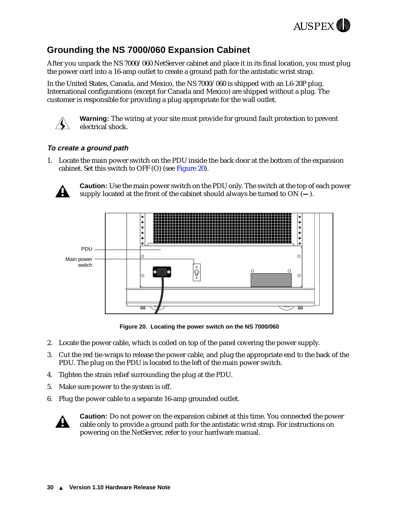

### <span id="page-33-0"></span>**Grounding the NS 7000/060 Expansion Cabinet**

After you unpack the NS 7000/060 NetServer cabinet and place it in its final location, you must plug the power cord into a 16-amp outlet to create a ground path for the antistatic wrist strap.

In the United States, Canada, and Mexico, the NS 7000/060 is shipped with an L6-20P plug. International configurations (except for Canada and Mexico) are shipped without a plug. The customer is responsible for providing a plug appropriate for the wall outlet.



**Warning:** The wiring at your site must provide for ground fault protection to prevent electrical shock.

#### **To create a ground path**

1. Locate the main power switch on the PDU inside the back door at the bottom of the expansion cabinet. Set this switch to OFF (O) (see Figure 20).



**Caution:** Use the main power switch on the PDU only. The switch at the top of each power supply located at the front of the cabinet should always be turned to ON (**—**).



**Figure 20. Locating the power switch on the NS 7000/060**

- 2. Locate the power cable, which is coiled on top of the panel covering the power supply.
- 3. Cut the red tie-wraps to release the power cable, and plug the appropriate end to the back of the PDU. The plug on the PDU is located to the left of the main power switch.
- 4. Tighten the strain relief surrounding the plug at the PDU.
- 5. Make sure power to the system is off.
- 6. Plug the power cable to a separate 16-amp grounded outlet.



**Caution:** Do not power on the expansion cabinet at this time. You connected the power cable only to provide a ground path for the antistatic wrist strap. For instructions on powering on the NetServer, refer to your hardware manual.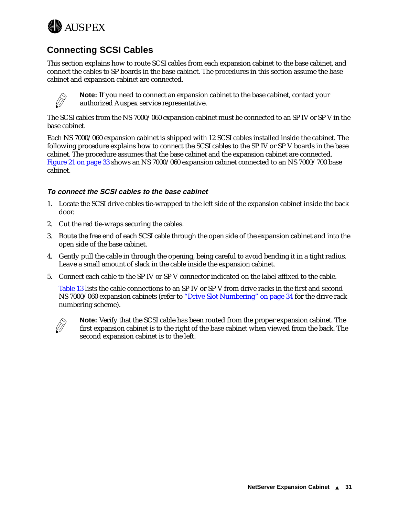<span id="page-34-0"></span>

# **Connecting SCSI Cables**

This section explains how to route SCSI cables from each expansion cabinet to the base cabinet, and connect the cables to SP boards in the base cabinet. The procedures in this section assume the base cabinet and expansion cabinet are connected.



**Note:** If you need to connect an expansion cabinet to the base cabinet, contact your authorized Auspex service representative.

The SCSI cables from the NS 7000/060 expansion cabinet must be connected to an SP IV or SP V in the base cabinet.

Each NS 7000/060 expansion cabinet is shipped with 12 SCSI cables installed inside the cabinet. The following procedure explains how to connect the SCSI cables to the SP IV or SP V boards in the base cabinet. The procedure assumes that the base cabinet and the expansion cabinet are connected. [Figure 21 on page 33](#page-36-0) shows an NS 7000/060 expansion cabinet connected to an NS 7000/700 base cabinet.

#### **To connect the SCSI cables to the base cabinet**

- 1. Locate the SCSI drive cables tie-wrapped to the left side of the expansion cabinet inside the back door.
- 2. Cut the red tie-wraps securing the cables.
- 3. Route the free end of each SCSI cable through the open side of the expansion cabinet and into the open side of the base cabinet.
- 4. Gently pull the cable in through the opening, being careful to avoid bending it in a tight radius. Leave a small amount of slack in the cable inside the expansion cabinet.
- 5. Connect each cable to the SP IV or SP V connector indicated on the label affixed to the cable.

[Table 13](#page-35-0) lists the cable connections to an SP IV or SP V from drive racks in the first and second NS 7000/060 expansion cabinets (refer to ["Drive Slot Numbering" on page 34](#page-37-0) for the drive rack numbering scheme).



**Note:** Verify that the SCSI cable has been routed from the proper expansion cabinet. The first expansion cabinet is to the right of the base cabinet when viewed from the back. The second expansion cabinet is to the left.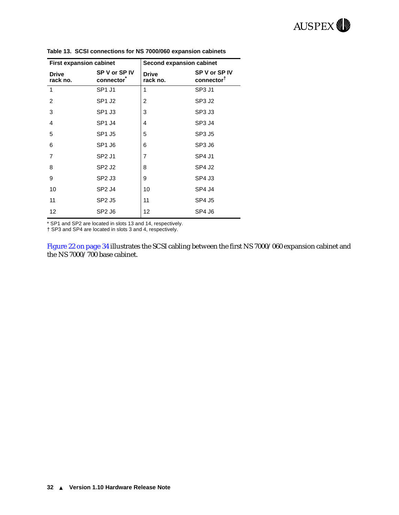| <b>First expansion cabinet</b> |                                | Second expansion cabinet |                                         |
|--------------------------------|--------------------------------|--------------------------|-----------------------------------------|
| <b>Drive</b><br>rack no.       | SP V or SP IV<br>connector     | <b>Drive</b><br>rack no. | SP V or SP IV<br>connector <sup>t</sup> |
| 1                              | SP <sub>1</sub> J <sub>1</sub> | 1                        | SP <sub>3</sub> J <sub>1</sub>          |
| 2                              | <b>SP1 J2</b>                  | 2                        | SP <sub>3</sub> J <sub>2</sub>          |
| 3                              | SP <sub>1</sub> J <sub>3</sub> | 3                        | SP <sub>3</sub> J <sub>3</sub>          |
| 4                              | SP <sub>1</sub> J <sub>4</sub> | 4                        | SP <sub>3</sub> J <sub>4</sub>          |
| 5                              | SP1 J5                         | 5                        | SP3 J5                                  |
| 6                              | SP <sub>1</sub> J <sub>6</sub> | 6                        | SP3 J6                                  |
| $\overline{7}$                 | SP <sub>2</sub> J <sub>1</sub> | $\overline{7}$           | SP4 J1                                  |
| 8                              | SP <sub>2</sub> J <sub>2</sub> | 8                        | SP4 J2                                  |
| 9                              | SP <sub>2</sub> J <sub>3</sub> | 9                        | SP4 J3                                  |
| 10                             | SP <sub>2</sub> J <sub>4</sub> | 10                       | SP4 J4                                  |
| 11                             | SP2 J5                         | 11                       | SP4 J5                                  |
| 12                             | SP <sub>2</sub> J <sub>6</sub> | 12                       | SP4 J6                                  |

<span id="page-35-0"></span>**Table 13. SCSI connections for NS 7000/060 expansion cabinets**

\* SP1 and SP2 are located in slots 13 and 14, respectively.

† SP3 and SP4 are located in slots 3 and 4, respectively.

[Figure 22 on page 34](#page-37-0) illustrates the SCSI cabling between the first NS 7000/060 expansion cabinet and the NS 7000/700 base cabinet.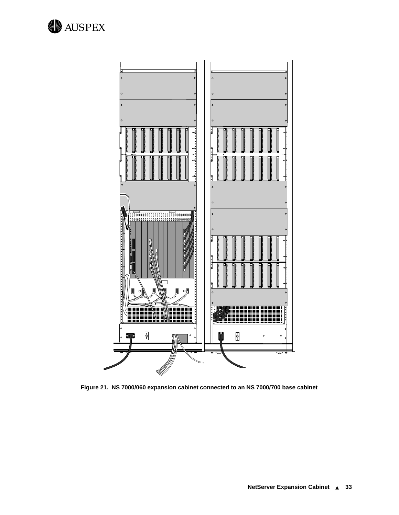<span id="page-36-0"></span>

**Figure 21. NS 7000/060 expansion cabinet connected to an NS 7000/700 base cabinet**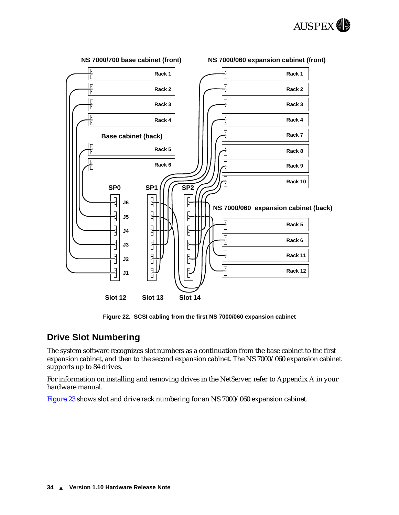

<span id="page-37-0"></span>

**Figure 22. SCSI cabling from the first NS 7000/060 expansion cabinet**

#### **Drive Slot Numbering**

The system software recognizes slot numbers as a continuation from the base cabinet to the first expansion cabinet, and then to the second expansion cabinet. The NS 7000/060 expansion cabinet supports up to 84 drives.

For information on installing and removing drives in the NetServer, refer to Appendix A in your hardware manual.

[Figure 23](#page-38-0) shows slot and drive rack numbering for an NS 7000/060 expansion cabinet.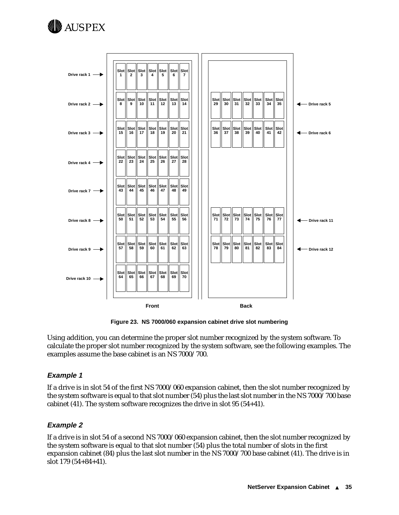<span id="page-38-0"></span>



**Figure 23. NS 7000/060 expansion cabinet drive slot numbering** 

Using addition, you can determine the proper slot number recognized by the system software. To calculate the proper slot number recognized by the system software, see the following examples. The examples assume the base cabinet is an NS 7000/700.

#### **Example 1**

If a drive is in slot 54 of the first NS 7000/060 expansion cabinet, then the slot number recognized by the system software is equal to that slot number (54) plus the last slot number in the NS 7000/700 base cabinet (41). The system software recognizes the drive in slot 95 (54+41).

#### **Example 2**

If a drive is in slot 54 of a second NS 7000/060 expansion cabinet, then the slot number recognized by the system software is equal to that slot number (54) plus the total number of slots in the first expansion cabinet (84) plus the last slot number in the NS 7000/700 base cabinet (41). The drive is in slot 179 (54+84+41).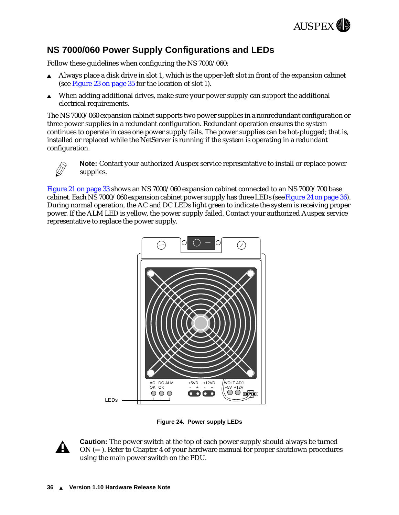

## <span id="page-39-0"></span>**NS 7000/060 Power Supply Configurations and LEDs**

Follow these guidelines when configuring the NS 7000/060:

- Always place a disk drive in slot 1, which is the upper-left slot in front of the expansion cabinet (see [Figure 23 on page 35](#page-38-0) for the location of slot 1).
- When adding additional drives, make sure your power supply can support the additional electrical requirements.

The NS 7000/060 expansion cabinet supports two power supplies in a nonredundant configuration or three power supplies in a redundant configuration. Redundant operation ensures the system continues to operate in case one power supply fails. The power supplies can be hot-plugged; that is, installed or replaced while the NetServer is running if the system is operating in a redundant configuration.



**Note:** Contact your authorized Auspex service representative to install or replace power supplies.

[Figure 21 on page 33](#page-36-0) shows an NS 7000/060 expansion cabinet connected to an NS 7000/700 base cabinet. Each NS 7000/060 expansion cabinet power supply has three LEDs (see Figure 24 on page 36). During normal operation, the AC and DC LEDs light green to indicate the system is receiving proper power. If the ALM LED is yellow, the power supply failed. Contact your authorized Auspex service representative to replace the power supply.



**Figure 24. Power supply LEDs**



**Caution:** The power switch at the top of each power supply should always be turned ON (**—**). Refer to Chapter 4 of your hardware manual for proper shutdown procedures using the main power switch on the PDU.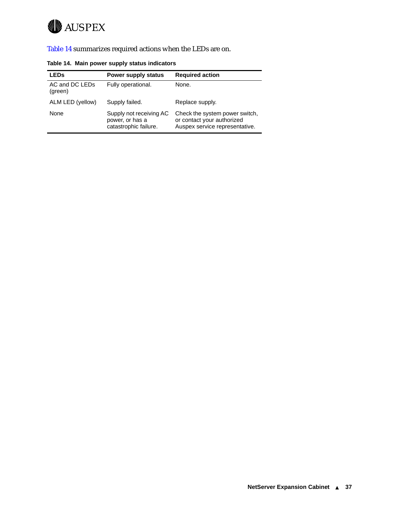

Table 14 summarizes required actions when the LEDs are on.

| <b>LEDs</b>               | Power supply status                                                 | <b>Required action</b>                                                                         |
|---------------------------|---------------------------------------------------------------------|------------------------------------------------------------------------------------------------|
| AC and DC LEDs<br>(green) | Fully operational.                                                  | None.                                                                                          |
| ALM LED (yellow)          | Supply failed.                                                      | Replace supply.                                                                                |
| None                      | Supply not receiving AC<br>power, or has a<br>catastrophic failure. | Check the system power switch,<br>or contact your authorized<br>Auspex service representative. |

**Table 14. Main power supply status indicators**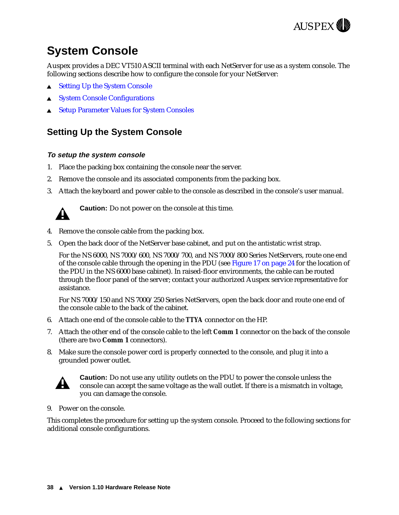

# <span id="page-41-0"></span>**System Console**

Auspex provides a DEC VT510 ASCII terminal with each NetServer for use as a system console. The following sections describe how to configure the console for your NetServer:

- $\triangle$  Setting Up the System Console
- **[System Console Configurations](#page-42-0)**
- <sup>s</sup> [Setup Parameter Values for System Consoles](#page-44-0)

## **Setting Up the System Console**

#### **To setup the system console**

- 1. Place the packing box containing the console near the server.
- 2. Remove the console and its associated components from the packing box.
- 3. Attach the keyboard and power cable to the console as described in the console's user manual.



**Caution:** Do not power on the console at this time.

- 4. Remove the console cable from the packing box.
- 5. Open the back door of the NetServer base cabinet, and put on the antistatic wrist strap.

For the NS 6000, NS 7000/600, NS 7000/700, and NS 7000/800 Series NetServers, route one end of the console cable through the opening in the PDU (see [Figure 17 on page 24](#page-27-0) for the location of the PDU in the NS 6000 base cabinet). In raised-floor environments, the cable can be routed through the floor panel of the server; contact your authorized Auspex service representative for assistance.

For NS 7000/150 and NS 7000/250 Series NetServers, open the back door and route one end of the console cable to the back of the cabinet.

- 6. Attach one end of the console cable to the *TTYA* connector on the HP.
- 7. Attach the other end of the console cable to the left *Comm 1* connector on the back of the console (there are two **Comm 1** connectors).
- 8. Make sure the console power cord is properly connected to the console, and plug it into a grounded power outlet.



**Caution:** Do not use any utility outlets on the PDU to power the console unless the console can accept the same voltage as the wall outlet. If there is a mismatch in voltage, you can damage the console.

9. Power on the console.

This completes the procedure for setting up the system console. Proceed to the following sections for additional console configurations.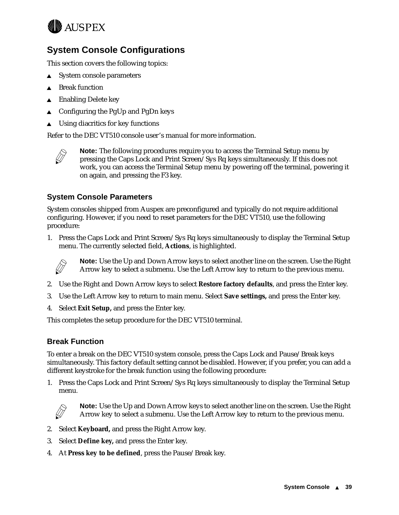<span id="page-42-0"></span>

## **System Console Configurations**

This section covers the following topics:

- $\triangle$  System console parameters
- **Break function**
- **Enabling Delete key**
- <sup>s</sup> Configuring the PgUp and PgDn keys
- $\triangle$  Using diacritics for key functions

Refer to the DEC VT510 console user's manual for more information.



**Note:** The following procedures require you to access the Terminal Setup menu by pressing the Caps Lock and Print Screen/Sys Rq keys simultaneously. If this does not work, you can access the Terminal Setup menu by powering off the terminal, powering it on again, and pressing the F3 key.

#### **System Console Parameters**

System consoles shipped from Auspex are preconfigured and typically do not require additional configuring. However, if you need to reset parameters for the DEC VT510, use the following procedure:

1. Press the Caps Lock and Print Screen/Sys Rq keys simultaneously to display the Terminal Setup menu. The currently selected field, **Actions**, is highlighted.



**Note:** Use the Up and Down Arrow keys to select another line on the screen. Use the Right Arrow key to select a submenu. Use the Left Arrow key to return to the previous menu.

- 2. Use the Right and Down Arrow keys to select **Restore factory defaults**, and press the Enter key.
- 3. Use the Left Arrow key to return to main menu. Select **Save settings,** and press the Enter key.
- 4. Select **Exit Setup,** and press the Enter key.

This completes the setup procedure for the DEC VT510 terminal.

#### **Break Function**

To enter a break on the DEC VT510 system console, press the Caps Lock and Pause/Break keys simultaneously. This factory default setting cannot be disabled. However, if you prefer, you can add a different keystroke for the break function using the following procedure:

1. Press the Caps Lock and Print Screen/Sys Rq keys simultaneously to display the Terminal Setup menu*.*



**Note:** Use the Up and Down Arrow keys to select another line on the screen. Use the Right Arrow key to select a submenu. Use the Left Arrow key to return to the previous menu.

- 2. Select **Keyboard,** and press the Right Arrow key.
- 3. Select **Define key,** and press the Enter key.
- 4. At **Press key to be defined**, press the Pause/Break key.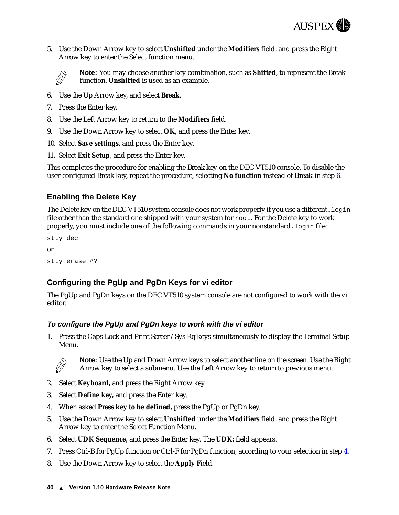

<span id="page-43-0"></span>5. Use the Down Arrow key to select **Unshifted** under the **Modifiers** field, and press the Right Arrow key to enter the Select function menu.



**Note:** You may choose another key combination, such as **Shifted**, to represent the Break function. **Unshifted** is used as an example.

- 6. Use the Up Arrow key, and select **Break**.
- 7. Press the Enter key.
- 8. Use the Left Arrow key to return to the **Modifiers** field.
- 9. Use the Down Arrow key to select **OK,** and press the Enter key.
- 10. Select **Save settings,** and press the Enter key.
- 11. Select **Exit Setup**, and press the Enter key.

This completes the procedure for enabling the Break key on the DEC VT510 console. To disable the user-configured Break key, repeat the procedure, selecting **No function** instead of **Break** in step 6.

#### **Enabling the Delete Key**

The Delete key on the DEC VT510 system console does not work properly if you use a different.  $login$ file other than the standard one shipped with your system for root. For the Delete key to work properly, you must include one of the following commands in your nonstandard. login file:

```
stty dec
or
stty erase ^?
```
#### **Configuring the PgUp and PgDn Keys for vi editor**

The PgUp and PgDn keys on the DEC VT510 system console are not configured to work with the vi editor.

#### **To configure the PgUp and PgDn keys to work with the vi editor**

1. Press the Caps Lock and Print Screen/Sys Rq keys simultaneously to display the Terminal Setup Menu.



**Note:** Use the Up and Down Arrow keys to select another line on the screen. Use the Right Arrow key to select a submenu. Use the Left Arrow key to return to previous menu.

- 2. Select **Keyboard,** and press the Right Arrow key.
- 3. Select **Define key,** and press the Enter key.
- 4. When asked **Press key to be defined,** press the PgUp or PgDn key.
- 5. Use the Down Arrow key to select **Unshifted** under the **Modifiers** field, and press the Right Arrow key to enter the Select Function Menu.
- 6. Select **UDK Sequence,** and press the Enter key. The **UDK:** field appears.
- 7. Press Ctrl-B for PgUp function or Ctrl-F for PgDn function, according to your selection in step 4.
- 8. Use the Down Arrow key to select the **Apply F**ield.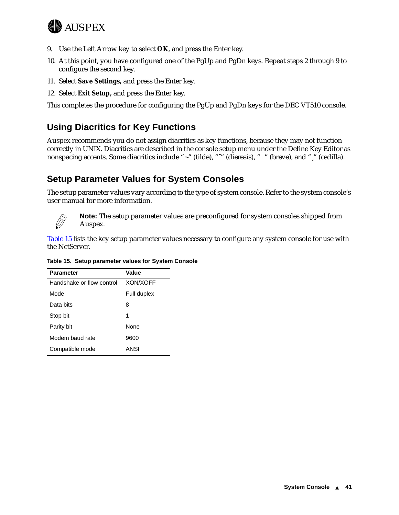<span id="page-44-0"></span>

- 9. Use the Left Arrow key to select **OK**, and press the Enter key.
- 10. At this point, you have configured one of the PgUp and PgDn keys. Repeat steps 2 through 9 to configure the second key.
- 11. Select **Save Settings,** and press the Enter key.
- 12. Select **Exit Setup,** and press the Enter key.

This completes the procedure for configuring the PgUp and PgDn keys for the DEC VT510 console.

# **Using Diacritics for Key Functions**

Auspex recommends you do not assign diacritics as key functions, because they may not function correctly in UNIX. Diacritics are described in the console setup menu under the Define Key Editor as nonspacing accents. Some diacritics include "~" (tilde), """ (dieresis), " " (breve), and "," (cedilla).

### **Setup Parameter Values for System Consoles**

The setup parameter values vary according to the type of system console. Refer to the system console's user manual for more information.



**Note:** The setup parameter values are preconfigured for system consoles shipped from Auspex.

Table 15 lists the key setup parameter values necessary to configure any system console for use with the NetServer.

| <b>Parameter</b>          | Value           |
|---------------------------|-----------------|
| Handshake or flow control | <b>XON/XOFF</b> |
| Mode                      | Full duplex     |
| Data bits                 | 8               |
| Stop bit                  | 1               |
| Parity bit                | None            |
| Modem baud rate           | 9600            |
| Compatible mode           | ANSI            |

**Table 15. Setup parameter values for System Console**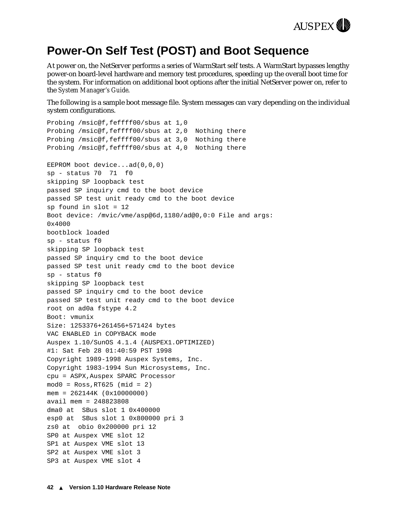

# <span id="page-45-0"></span>**Power-On Self Test (POST) and Boot Sequence**

At power on, the NetServer performs a series of WarmStart self tests. A WarmStart bypasses lengthy power-on board-level hardware and memory test procedures, speeding up the overall boot time for the system. For information on additional boot options after the initial NetServer power on, refer to the *System Manager's Guide*.

The following is a sample boot message file. System messages can vary depending on the individual system configurations.

```
Probing /msic@f,feffff00/sbus at 1,0 
Probing /msic@f,feffff00/sbus at 2,0 Nothing there
Probing /msic@f,feffff00/sbus at 3,0 Nothing there
Probing /msic@f,feffff00/sbus at 4,0 Nothing there
EEPROM boot device...ad(0,0,0) 
sp - status 70 71 f0 
skipping SP loopback test
passed SP inquiry cmd to the boot device
passed SP test unit ready cmd to the boot device
sp found in slot = 12
Boot device: /mvic/vme/asp@6d,1180/ad@0,0:0 File and args: 
0 \times 4000bootblock loaded
sp - status f0 
skipping SP loopback test
passed SP inquiry cmd to the boot device
passed SP test unit ready cmd to the boot device
sp - status f0 
skipping SP loopback test
passed SP inquiry cmd to the boot device
passed SP test unit ready cmd to the boot device
root on ad0a fstype 4.2
Boot: vmunix
Size: 1253376+261456+571424 bytes
VAC ENABLED in COPYBACK mode
Auspex 1.10/SunOS 4.1.4 (AUSPEX1.OPTIMIZED) 
#1: Sat Feb 28 01:40:59 PST 1998
Copyright 1989-1998 Auspex Systems, Inc.
Copyright 1983-1994 Sun Microsystems, Inc.
cpu = ASPX,Auspex SPARC Processor
mod0 = Ross, RT625 (mid = 2)mem = 262144K (0x10000000)
avail mem = 248823808
dma0 at SBus slot 1 0x400000
esp0 at SBus slot 1 0x800000 pri 3
zs0 at obio 0x200000 pri 12
SP0 at Auspex VME slot 12
SP1 at Auspex VME slot 13
SP2 at Auspex VME slot 3
SP3 at Auspex VME slot 4
```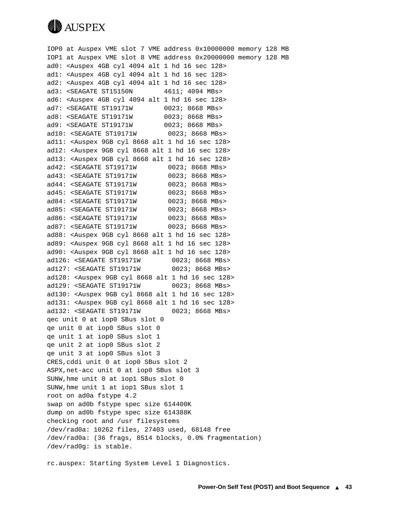

IOP0 at Auspex VME slot 7 VME address 0x10000000 memory 128 MB IOP1 at Auspex VME slot 8 VME address 0x20000000 memory 128 MB ad0: <Auspex 4GB cyl 4094 alt 1 hd 16 sec 128> ad1: <Auspex 4GB cyl 4094 alt 1 hd 16 sec 128> ad2: <Auspex 4GB cyl 4094 alt 1 hd 16 sec 128> ad3: <SEAGATE ST15150N 4611; 4094 MBs> ad6: <Auspex 4GB cyl 4094 alt 1 hd 16 sec 128> ad7: <SEAGATE ST19171W 0023; 8668 MBs> ad8: <SEAGATE ST19171W 0023; 8668 MBs> ad9: <SEAGATE ST19171W 0023; 8668 MBs> ad10: <SEAGATE ST19171W 0023; 8668 MBs> ad11: <Auspex 9GB cyl 8668 alt 1 hd 16 sec 128> ad12: <Auspex 9GB cyl 8668 alt 1 hd 16 sec 128> ad13: <Auspex 9GB cyl 8668 alt 1 hd 16 sec 128> ad42: <SEAGATE ST19171W 0023; 8668 MBs> ad43: <SEAGATE ST19171W 0023; 8668 MBs> ad44: <SEAGATE ST19171W 0023; 8668 MBs> ad45: <SEAGATE ST19171W 0023; 8668 MBs> ad84: <SEAGATE ST19171W 0023; 8668 MBs> ad85: <SEAGATE ST19171W 0023; 8668 MBs> ad86: <SEAGATE ST19171W 0023; 8668 MBs> ad87: <SEAGATE ST19171W 0023; 8668 MBs> ad88: <Auspex 9GB cyl 8668 alt 1 hd 16 sec 128> ad89: <Auspex 9GB cyl 8668 alt 1 hd 16 sec 128> ad90: <Auspex 9GB cyl 8668 alt 1 hd 16 sec 128> ad126: <SEAGATE ST19171W 0023; 8668 MBs> ad127: <SEAGATE ST19171W 0023; 8668 MBs> ad128: <Auspex 9GB cyl 8668 alt 1 hd 16 sec 128> ad129: <SEAGATE ST19171W 0023; 8668 MBs> ad130: <Auspex 9GB cyl 8668 alt 1 hd 16 sec 128> ad131: <Auspex 9GB cyl 8668 alt 1 hd 16 sec 128> ad132: <SEAGATE ST19171W 0023; 8668 MBs> qec unit 0 at iop0 SBus slot 0 qe unit 0 at iop0 SBus slot 0 qe unit 1 at iop0 SBus slot 1 qe unit 2 at iop0 SBus slot 2 qe unit 3 at iop0 SBus slot 3 CRES,cddi unit 0 at iop0 SBus slot 2 ASPX,net-acc unit 0 at iop0 SBus slot 3 SUNW,hme unit 0 at iop1 SBus slot 0 SUNW,hme unit 1 at iop1 SBus slot 1 root on ad0a fstype 4.2 swap on ad0b fstype spec size 614400K dump on ad0b fstype spec size 614388K checking root and /usr filesystems /dev/rad0a: 10262 files, 27403 used, 68148 free /dev/rad0a: (36 frags, 8514 blocks, 0.0% fragmentation) /dev/rad0g: is stable.

rc.auspex: Starting System Level 1 Diagnostics.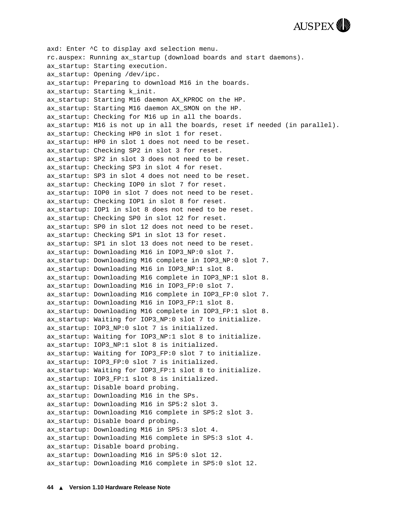

axd: Enter ^C to display axd selection menu. rc.auspex: Running ax\_startup (download boards and start daemons). ax\_startup: Starting execution. ax\_startup: Opening /dev/ipc. ax startup: Preparing to download M16 in the boards. ax startup: Starting k init. ax startup: Starting M16 daemon AX KPROC on the HP. ax startup: Starting M16 daemon AX SMON on the HP. ax startup: Checking for M16 up in all the boards. ax\_startup: M16 is not up in all the boards, reset if needed (in parallel). ax\_startup: Checking HP0 in slot 1 for reset. ax\_startup: HP0 in slot 1 does not need to be reset. ax\_startup: Checking SP2 in slot 3 for reset. ax\_startup: SP2 in slot 3 does not need to be reset. ax\_startup: Checking SP3 in slot 4 for reset. ax\_startup: SP3 in slot 4 does not need to be reset. ax\_startup: Checking IOP0 in slot 7 for reset. ax startup: IOP0 in slot 7 does not need to be reset. ax startup: Checking IOP1 in slot 8 for reset. ax startup: IOP1 in slot 8 does not need to be reset. ax startup: Checking SP0 in slot 12 for reset. ax startup: SP0 in slot 12 does not need to be reset. ax\_startup: Checking SP1 in slot 13 for reset. ax startup: SP1 in slot 13 does not need to be reset. ax\_startup: Downloading M16 in IOP3\_NP:0 slot 7. ax startup: Downloading M16 complete in IOP3 NP:0 slot 7. ax\_startup: Downloading M16 in IOP3\_NP:1 slot 8. ax\_startup: Downloading M16 complete in IOP3\_NP:1 slot 8. ax\_startup: Downloading M16 in IOP3\_FP:0 slot 7. ax\_startup: Downloading M16 complete in IOP3\_FP:0 slot 7. ax startup: Downloading M16 in IOP3 FP:1 slot 8. ax\_startup: Downloading M16 complete in IOP3\_FP:1 slot 8. ax\_startup: Waiting for IOP3\_NP:0 slot 7 to initialize. ax startup: IOP3 NP:0 slot 7 is initialized. ax\_startup: Waiting for IOP3\_NP:1 slot 8 to initialize. ax startup: IOP3 NP:1 slot 8 is initialized. ax startup: Waiting for IOP3 FP:0 slot 7 to initialize. ax\_startup: IOP3\_FP:0 slot 7 is initialized. ax startup: Waiting for IOP3 FP:1 slot 8 to initialize. ax\_startup: IOP3\_FP:1 slot 8 is initialized. ax\_startup: Disable board probing. ax startup: Downloading M16 in the SPs. ax\_startup: Downloading M16 in SP5:2 slot 3. ax\_startup: Downloading M16 complete in SP5:2 slot 3. ax\_startup: Disable board probing. ax\_startup: Downloading M16 in SP5:3 slot 4. ax\_startup: Downloading M16 complete in SP5:3 slot 4. ax startup: Disable board probing. ax\_startup: Downloading M16 in SP5:0 slot 12. ax\_startup: Downloading M16 complete in SP5:0 slot 12.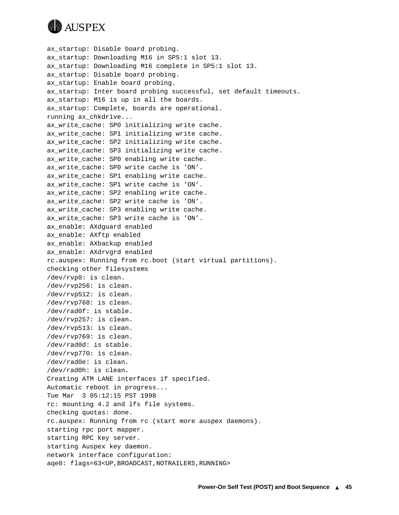

ax\_startup: Disable board probing. ax\_startup: Downloading M16 in SP5:1 slot 13. ax\_startup: Downloading M16 complete in SP5:1 slot 13. ax\_startup: Disable board probing. ax startup: Enable board probing. ax startup: Inter board probing successful, set default timeouts. ax\_startup: M16 is up in all the boards. ax startup: Complete, boards are operational. running ax\_chkdrive... ax write cache: SP0 initializing write cache. ax write cache: SP1 initializing write cache. ax\_write\_cache: SP2 initializing write cache. ax write cache: SP3 initializing write cache. ax\_write\_cache: SP0 enabling write cache. ax\_write\_cache: SP0 write cache is 'ON'. ax\_write\_cache: SP1 enabling write cache. ax\_write\_cache: SP1 write cache is 'ON'. ax write cache: SP2 enabling write cache. ax write cache: SP2 write cache is 'ON'. ax\_write\_cache: SP3 enabling write cache. ax write cache: SP3 write cache is 'ON'. ax\_enable: AXdguard enabled ax\_enable: AXftp enabled ax\_enable: AXbackup enabled ax\_enable: AXdrvgrd enabled rc.auspex: Running from rc.boot (start virtual partitions). checking other filesystems /dev/rvp0: is clean. /dev/rvp256: is clean. /dev/rvp512: is clean. /dev/rvp768: is clean. /dev/rad0f: is stable. /dev/rvp257: is clean. /dev/rvp513: is clean. /dev/rvp769: is clean. /dev/rad0d: is stable. /dev/rvp770: is clean. /dev/rad0e: is clean. /dev/rad0h: is clean. Creating ATM LANE interfaces if specified. Automatic reboot in progress... Tue Mar 3 05:12:15 PST 1998 rc: mounting 4.2 and lfs file systems. checking quotas: done. rc.auspex: Running from rc (start more auspex daemons). starting rpc port mapper. starting RPC key server. starting Auspex key daemon. network interface configuration: age0: flags=63<UP, BROADCAST, NOTRAILERS, RUNNING>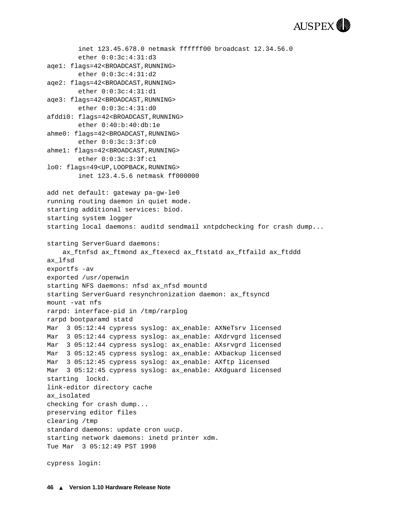

```
 inet 123.45.678.0 netmask ffffff00 broadcast 12.34.56.0
         ether 0:0:3c:4:31:d3 
aqe1: flags=42<BROADCAST,RUNNING>
         ether 0:0:3c:4:31:d2 
aqe2: flags=42<BROADCAST,RUNNING>
         ether 0:0:3c:4:31:d1 
aqe3: flags=42<BROADCAST,RUNNING>
         ether 0:0:3c:4:31:d0 
afddi0: flags=42<BROADCAST,RUNNING>
         ether 0:40:b:40:db:1e 
ahme0: flags=42<BROADCAST,RUNNING>
         ether 0:0:3c:3:3f:c0 
ahme1: flags=42<BROADCAST,RUNNING>
         ether 0:0:3c:3:3f:c1 
lo0: flags=49<UP,LOOPBACK,RUNNING>
         inet 123.4.5.6 netmask ff000000 
add net default: gateway pa-gw-le0
running routing daemon in quiet mode.
starting additional services: biod.
starting system logger
starting local daemons: auditd sendmail xntpdchecking for crash dump... 
starting ServerGuard daemons:
     ax_ftnfsd ax_ftmond ax_ftexecd ax_ftstatd ax_ftfaild ax_ftddd
ax_lfsd
exportfs -av
exported /usr/openwin
starting NFS daemons: nfsd ax_nfsd mountd
starting ServerGuard resynchronization daemon: ax_ftsyncd
mount -vat nfs
rarpd: interface-pid in /tmp/rarplog
rarpd bootparamd statd
Mar 3 05:12:44 cypress syslog: ax enable: AXNeTsrv licensed
Mar 3 05:12:44 cypress syslog: ax_enable: AXdrvgrd licensed
Mar 3 05:12:44 cypress syslog: ax_enable: AXsrvgrd licensed
Mar 3 05:12:45 cypress syslog: ax enable: AXbackup licensed
Mar 3 05:12:45 cypress syslog: ax_enable: AXftp licensed
Mar 3 05:12:45 cypress syslog: ax enable: AXdguard licensed
starting lockd.
link-editor directory cache
ax_isolated
checking for crash dump... 
preserving editor files
clearing /tmp
standard daemons: update cron uucp.
starting network daemons: inetd printer xdm.
Tue Mar 3 05:12:49 PST 1998
```
cypress login: